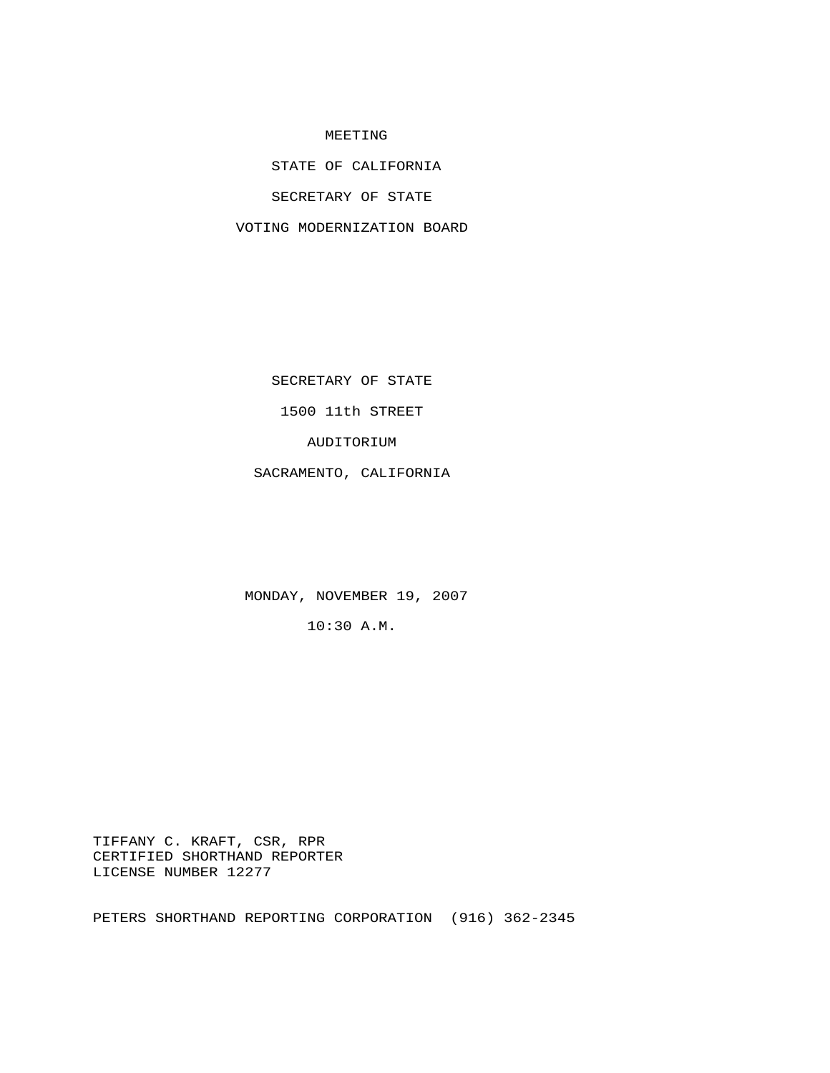## MEETING

STATE OF CALIFORNIA

SECRETARY OF STATE

VOTING MODERNIZATION BOARD

SECRETARY OF STATE

1500 11th STREET

AUDITORIUM

SACRAMENTO, CALIFORNIA

MONDAY, NOVEMBER 19, 2007

10:30 A.M.

 TIFFANY C. KRAFT, CSR, RPR CERTIFIED SHORTHAND REPORTER LICENSE NUMBER 12277

PETERS SHORTHAND REPORTING CORPORATION (916) 362-2345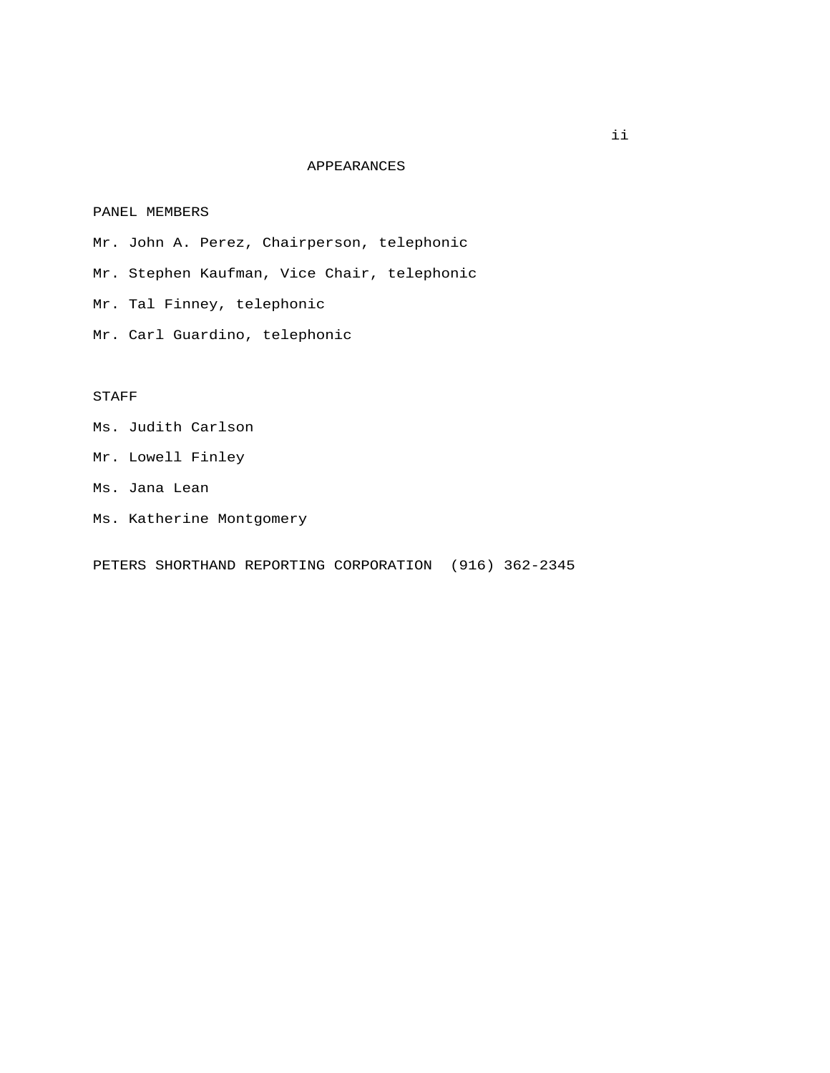## APPEARANCES

## PANEL MEMBERS

 Mr. John A. Perez, Chairperson, telephonic Mr. Stephen Kaufman, Vice Chair, telephonic Mr. Tal Finney, telephonic

Mr. Carl Guardino, telephonic

## STAFF

- Ms. Judith Carlson
- Mr. Lowell Finley
- Ms. Jana Lean
- Ms. Katherine Montgomery

PETERS SHORTHAND REPORTING CORPORATION (916) 362-2345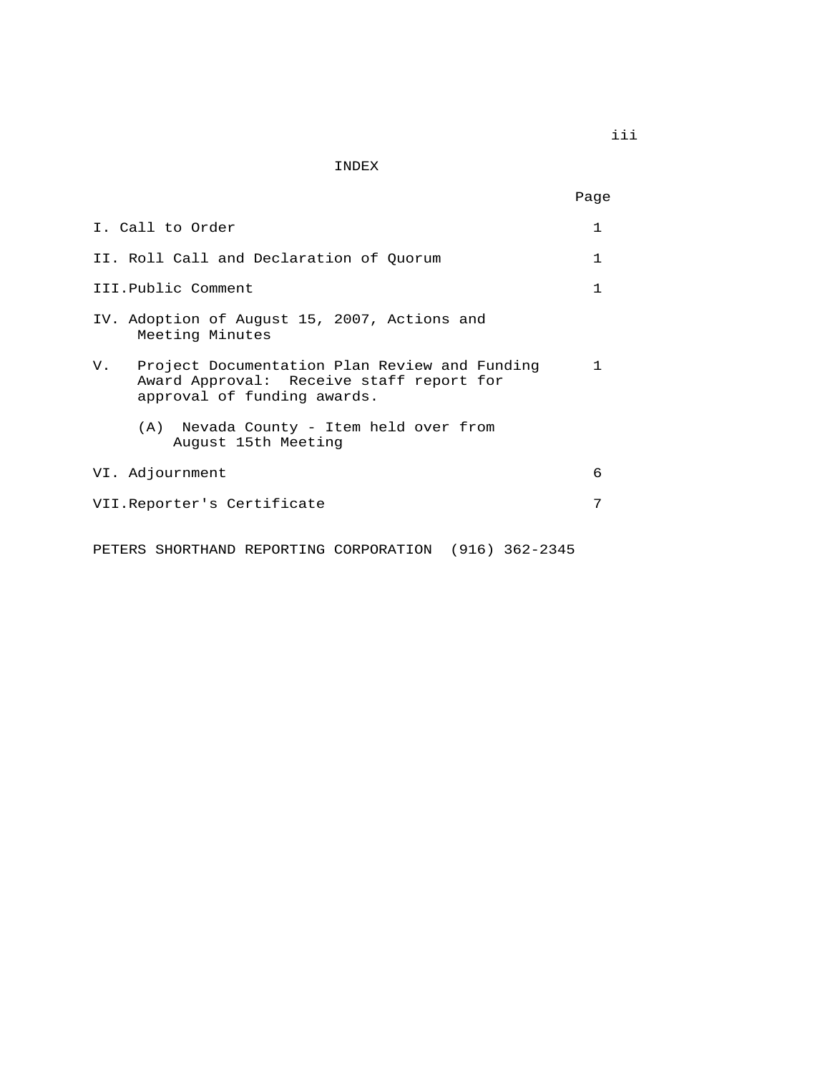INDEX

| I. Call to Order                                                                                                            | 1  |
|-----------------------------------------------------------------------------------------------------------------------------|----|
|                                                                                                                             |    |
| II. Roll Call and Declaration of Ouorum                                                                                     | 1  |
| III.Public Comment                                                                                                          |    |
| IV. Adoption of August 15, 2007, Actions and<br>Meeting Minutes                                                             |    |
| V. Project Documentation Plan Review and Funding<br>Award Approval: Receive staff report for<br>approval of funding awards. | 1. |
| (A) Nevada County - Item held over from<br>August 15th Meeting                                                              |    |
| VI. Adjournment                                                                                                             | 6  |
| VII.Reporter's Certificate                                                                                                  | 7  |
| PETERS SHORTHAND REPORTING CORPORATION (916) 362-2345                                                                       |    |

iii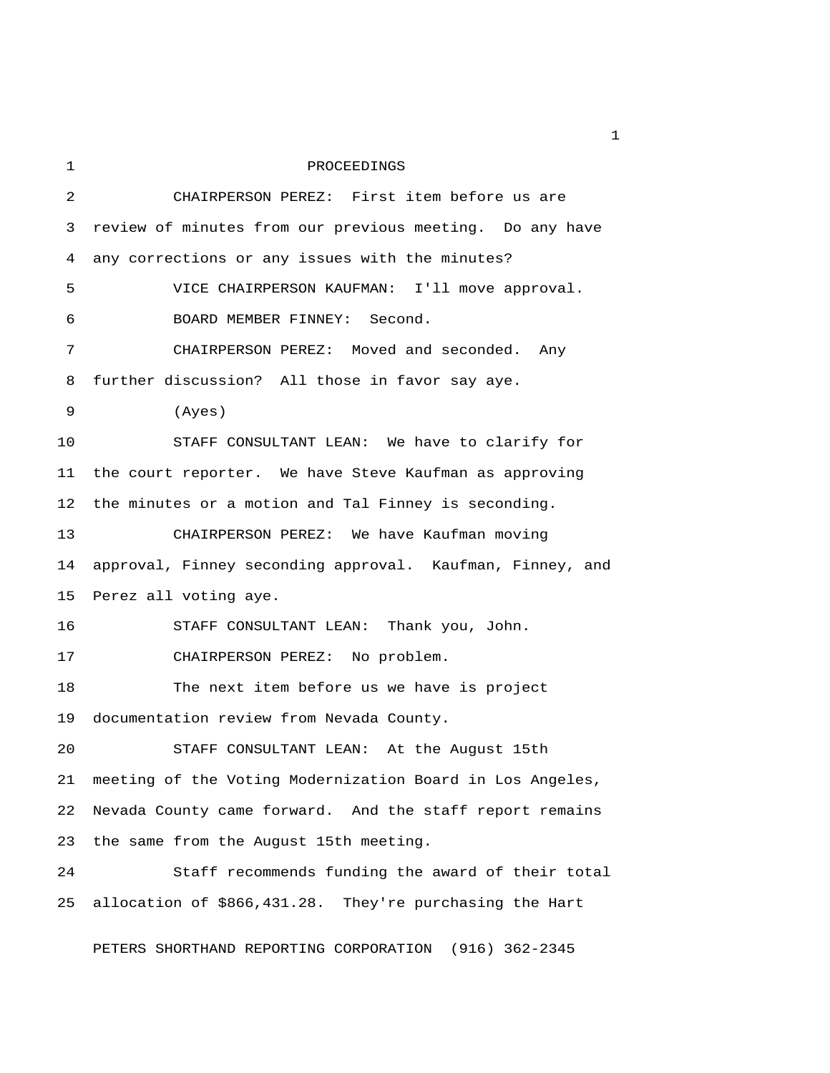1 PROCEEDINGS 2 CHAIRPERSON PEREZ: First item before us are 3 review of minutes from our previous meeting. Do any have 4 any corrections or any issues with the minutes? 5 VICE CHAIRPERSON KAUFMAN: I'll move approval. 6 BOARD MEMBER FINNEY: Second. 7 CHAIRPERSON PEREZ: Moved and seconded. Any 8 further discussion? All those in favor say aye. 9 (Ayes) 10 STAFF CONSULTANT LEAN: We have to clarify for 11 the court reporter. We have Steve Kaufman as approving 12 the minutes or a motion and Tal Finney is seconding. 13 CHAIRPERSON PEREZ: We have Kaufman moving 14 approval, Finney seconding approval. Kaufman, Finney, and 15 Perez all voting aye. 16 STAFF CONSULTANT LEAN: Thank you, John. 17 CHAIRPERSON PEREZ: No problem. 18 The next item before us we have is project 19 documentation review from Nevada County. 20 STAFF CONSULTANT LEAN: At the August 15th 21 meeting of the Voting Modernization Board in Los Angeles, 22 Nevada County came forward. And the staff report remains 23 the same from the August 15th meeting. 24 Staff recommends funding the award of their total 25 allocation of \$866,431.28. They're purchasing the Hart PETERS SHORTHAND REPORTING CORPORATION (916) 362-2345

 $\mathbf{1}$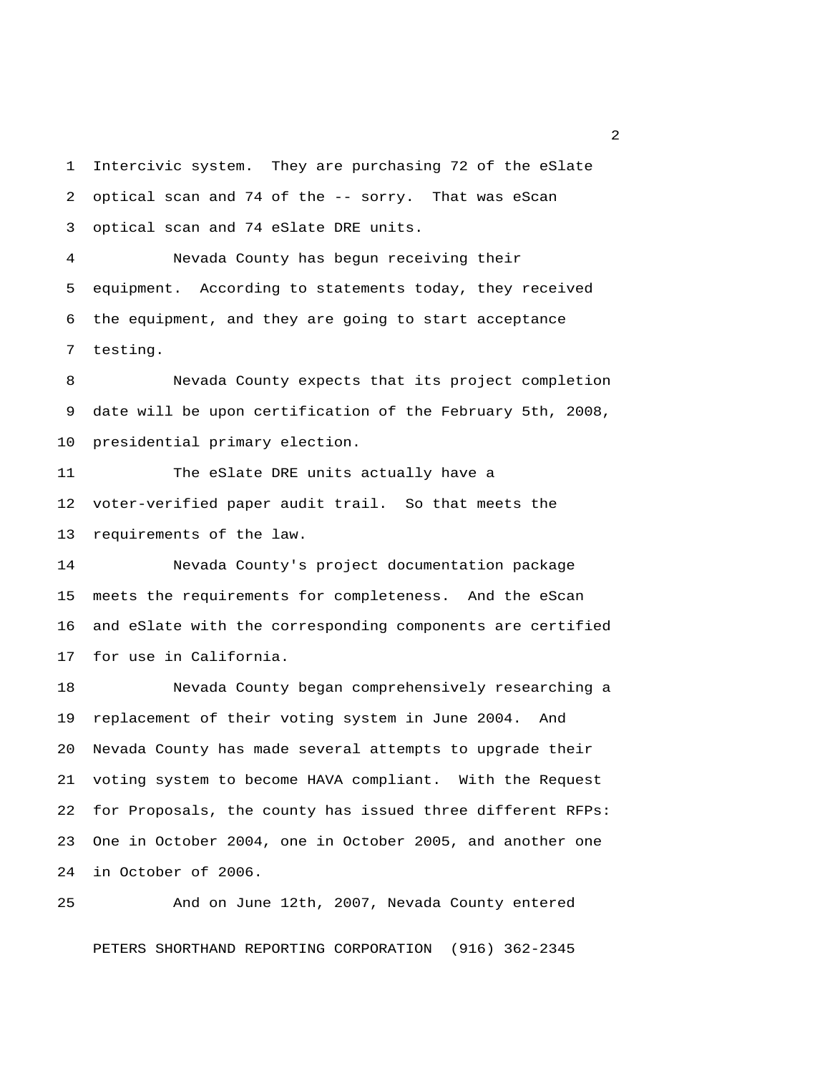1 Intercivic system. They are purchasing 72 of the eSlate 2 optical scan and 74 of the -- sorry. That was eScan 3 optical scan and 74 eSlate DRE units.

 4 Nevada County has begun receiving their 5 equipment. According to statements today, they received 6 the equipment, and they are going to start acceptance 7 testing.

 8 Nevada County expects that its project completion 9 date will be upon certification of the February 5th, 2008, 10 presidential primary election.

11 The eSlate DRE units actually have a 12 voter-verified paper audit trail. So that meets the 13 requirements of the law.

14 Nevada County's project documentation package 15 meets the requirements for completeness. And the eScan 16 and eSlate with the corresponding components are certified 17 for use in California.

18 Nevada County began comprehensively researching a 19 replacement of their voting system in June 2004. And 20 Nevada County has made several attempts to upgrade their 21 voting system to become HAVA compliant. With the Request 22 for Proposals, the county has issued three different RFPs: 23 One in October 2004, one in October 2005, and another one 24 in October of 2006.

25 And on June 12th, 2007, Nevada County entered

PETERS SHORTHAND REPORTING CORPORATION (916) 362-2345

2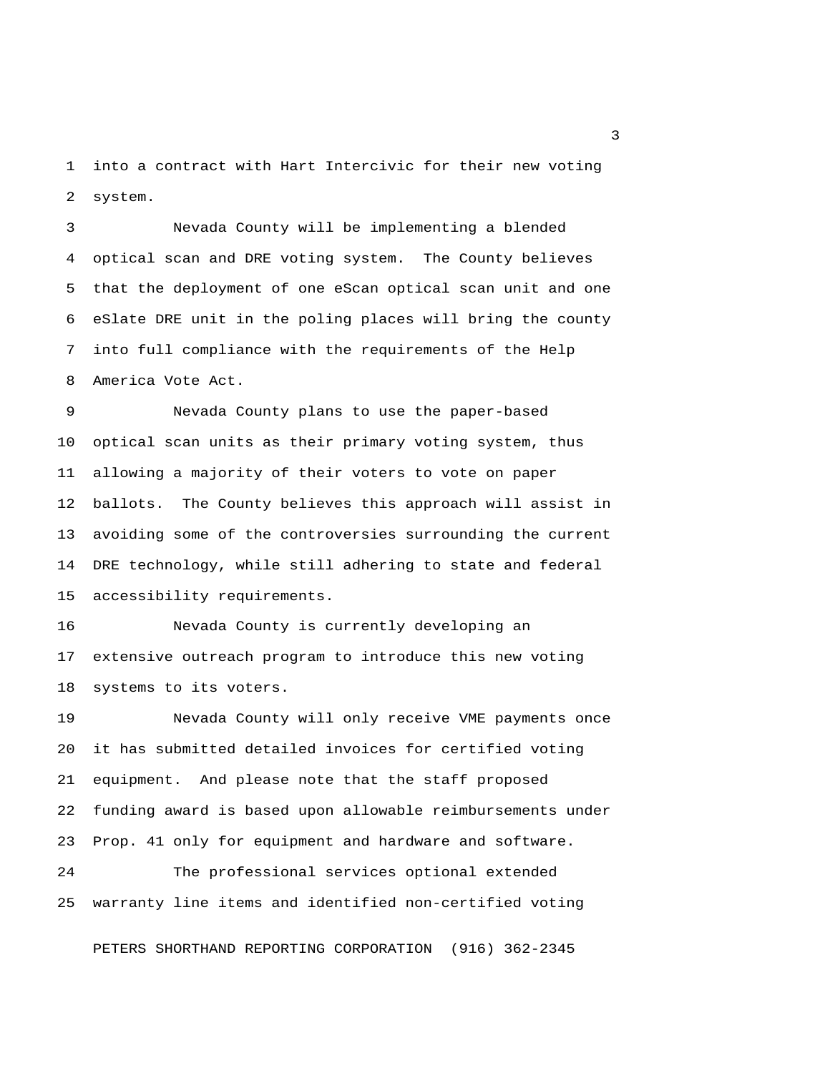1 into a contract with Hart Intercivic for their new voting 2 system.

 3 Nevada County will be implementing a blended 4 optical scan and DRE voting system. The County believes 5 that the deployment of one eScan optical scan unit and one 6 eSlate DRE unit in the poling places will bring the county 7 into full compliance with the requirements of the Help 8 America Vote Act.

 9 Nevada County plans to use the paper-based 10 optical scan units as their primary voting system, thus 11 allowing a majority of their voters to vote on paper 12 ballots. The County believes this approach will assist in 13 avoiding some of the controversies surrounding the current 14 DRE technology, while still adhering to state and federal 15 accessibility requirements.

16 Nevada County is currently developing an 17 extensive outreach program to introduce this new voting 18 systems to its voters.

19 Nevada County will only receive VME payments once 20 it has submitted detailed invoices for certified voting 21 equipment. And please note that the staff proposed 22 funding award is based upon allowable reimbursements under 23 Prop. 41 only for equipment and hardware and software.

24 The professional services optional extended 25 warranty line items and identified non-certified voting

PETERS SHORTHAND REPORTING CORPORATION (916) 362-2345

 $\overline{\mathbf{3}}$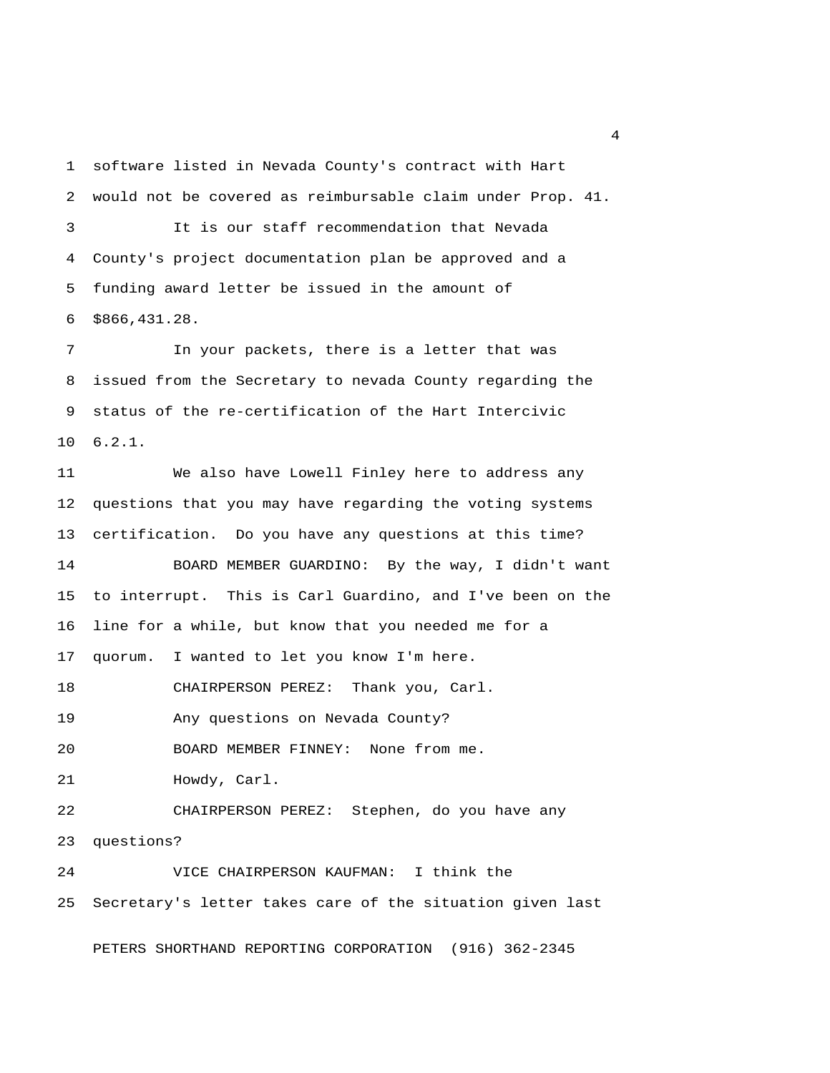1 software listed in Nevada County's contract with Hart 2 would not be covered as reimbursable claim under Prop. 41. 3 It is our staff recommendation that Nevada 4 County's project documentation plan be approved and a 5 funding award letter be issued in the amount of 6 \$866,431.28.

 7 In your packets, there is a letter that was 8 issued from the Secretary to nevada County regarding the 9 status of the re-certification of the Hart Intercivic 10 6.2.1.

11 We also have Lowell Finley here to address any 12 questions that you may have regarding the voting systems 13 certification. Do you have any questions at this time? 14 BOARD MEMBER GUARDINO: By the way, I didn't want 15 to interrupt. This is Carl Guardino, and I've been on the 16 line for a while, but know that you needed me for a 17 quorum. I wanted to let you know I'm here. 18 CHAIRPERSON PEREZ: Thank you, Carl. 19 Any questions on Nevada County? 20 BOARD MEMBER FINNEY: None from me. 21 Howdy, Carl. 22 CHAIRPERSON PEREZ: Stephen, do you have any 23 questions? 24 VICE CHAIRPERSON KAUFMAN: I think the 25 Secretary's letter takes care of the situation given last

PETERS SHORTHAND REPORTING CORPORATION (916) 362-2345

4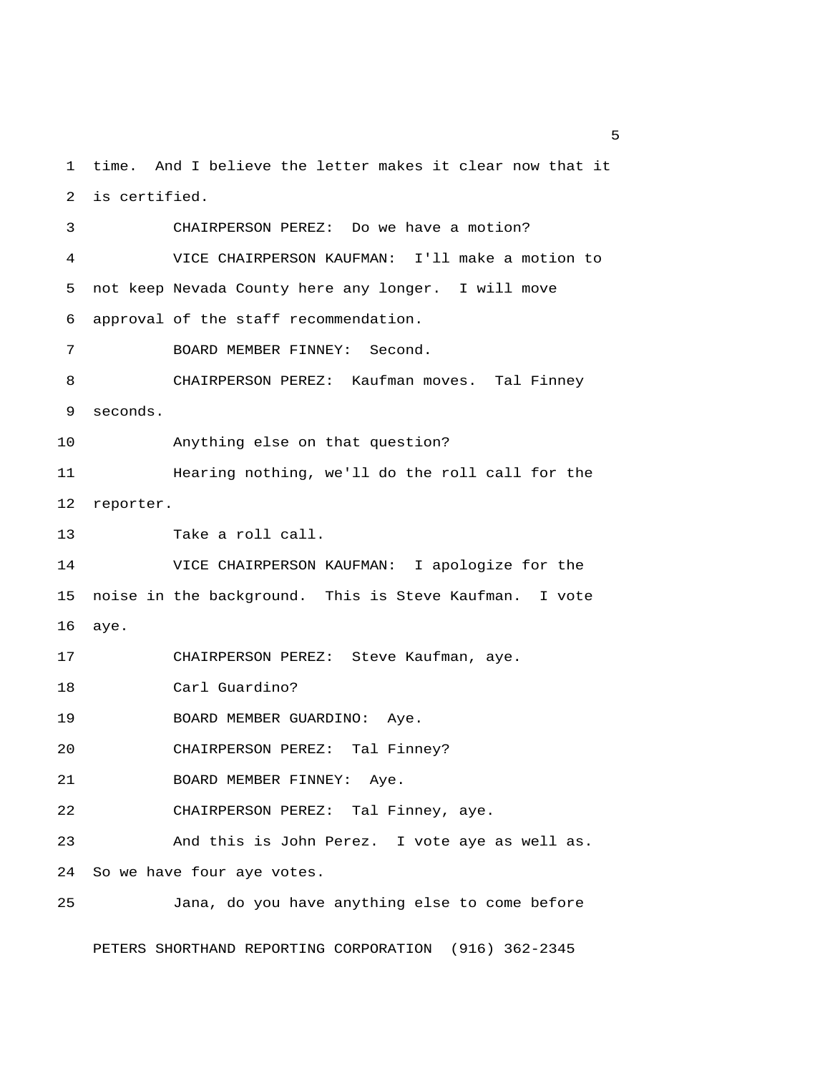1 time. And I believe the letter makes it clear now that it 2 is certified.

 3 CHAIRPERSON PEREZ: Do we have a motion? 4 VICE CHAIRPERSON KAUFMAN: I'll make a motion to 5 not keep Nevada County here any longer. I will move 6 approval of the staff recommendation. 7 BOARD MEMBER FINNEY: Second. 8 CHAIRPERSON PEREZ: Kaufman moves. Tal Finney 9 seconds. 10 Anything else on that question? 11 Hearing nothing, we'll do the roll call for the 12 reporter. 13 Take a roll call. 14 VICE CHAIRPERSON KAUFMAN: I apologize for the 15 noise in the background. This is Steve Kaufman. I vote 16 aye. 17 CHAIRPERSON PEREZ: Steve Kaufman, aye. 18 Carl Guardino? 19 BOARD MEMBER GUARDINO: Aye. 20 CHAIRPERSON PEREZ: Tal Finney? 21 BOARD MEMBER FINNEY: Aye. 22 CHAIRPERSON PEREZ: Tal Finney, aye. 23 And this is John Perez. I vote aye as well as. 24 So we have four aye votes. 25 Jana, do you have anything else to come before

PETERS SHORTHAND REPORTING CORPORATION (916) 362-2345

 $\sim$  5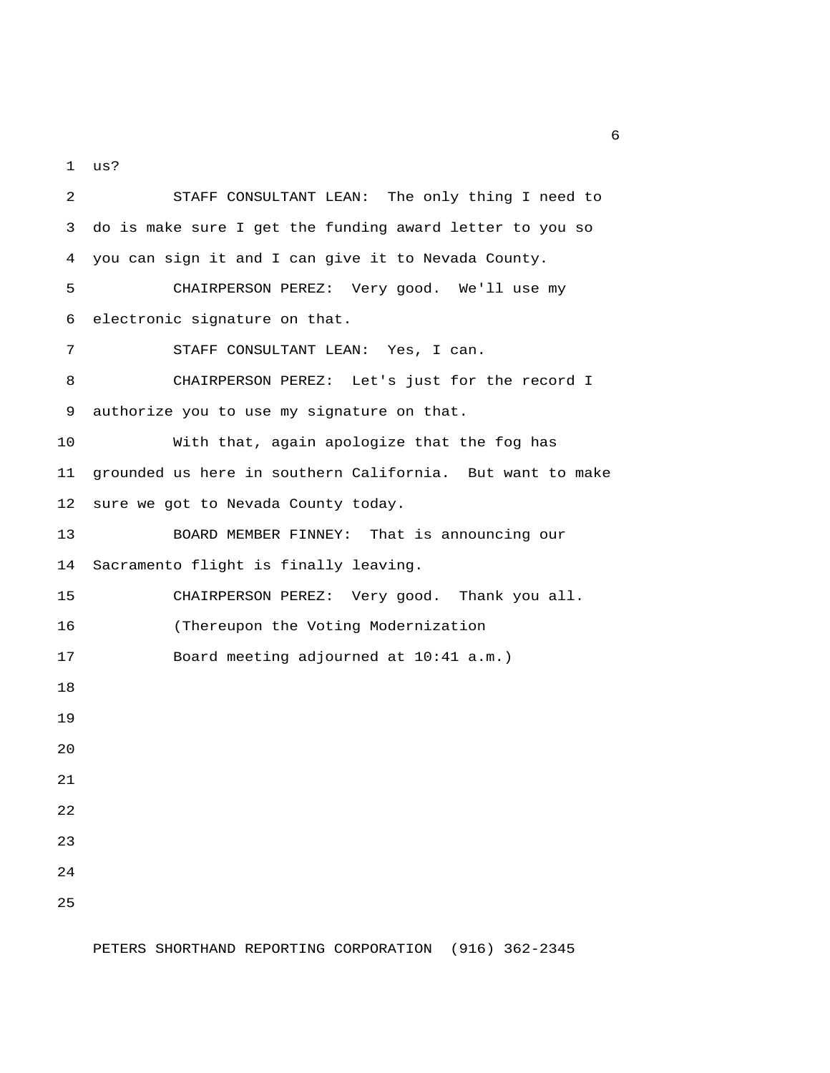1 us?

 2 STAFF CONSULTANT LEAN: The only thing I need to 3 do is make sure I get the funding award letter to you so 4 you can sign it and I can give it to Nevada County. 5 CHAIRPERSON PEREZ: Very good. We'll use my 6 electronic signature on that. 7 STAFF CONSULTANT LEAN: Yes, I can. 8 CHAIRPERSON PEREZ: Let's just for the record I 9 authorize you to use my signature on that. 10 With that, again apologize that the fog has 11 grounded us here in southern California. But want to make 12 sure we got to Nevada County today. 13 BOARD MEMBER FINNEY: That is announcing our 14 Sacramento flight is finally leaving. 15 CHAIRPERSON PEREZ: Very good. Thank you all. 16 (Thereupon the Voting Modernization 17 Board meeting adjourned at 10:41 a.m.) 18 19 20 21 22 23 24 25

 $6<sup>6</sup>$